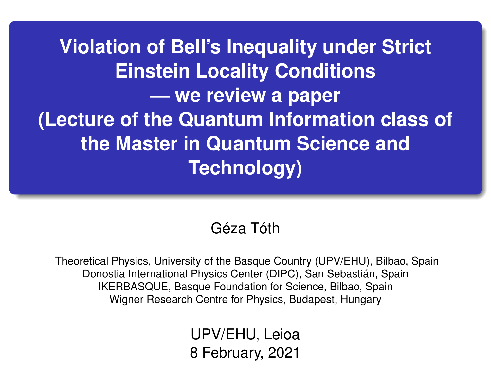**Violation of Bell's Inequality under Strict Einstein Locality Conditions — we review a paper (Lecture of the Quantum Information class of the Master in Quantum Science and Technology)**

### Géza Tóth

Theoretical Physics, University of the Basque Country (UPV/EHU), Bilbao, Spain Donostia International Physics Center (DIPC), San Sebastián, Spain IKERBASQUE, Basque Foundation for Science, Bilbao, Spain Wigner Research Centre for Physics, Budapest, Hungary

> UPV/EHU, Leioa 8 February, 2021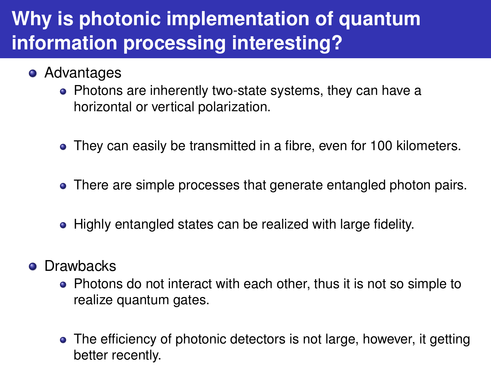# **Why is photonic implementation of quantum information processing interesting?**

- **•** Advantages
	- Photons are inherently two-state systems, they can have a horizontal or vertical polarization.
	- They can easily be transmitted in a fibre, even for 100 kilometers.
	- There are simple processes that generate entangled photon pairs.
	- Highly entangled states can be realized with large fidelity.
- **o** Drawbacks
	- Photons do not interact with each other, thus it is not so simple to realize quantum gates.
	- The efficiency of photonic detectors is not large, however, it getting better recently.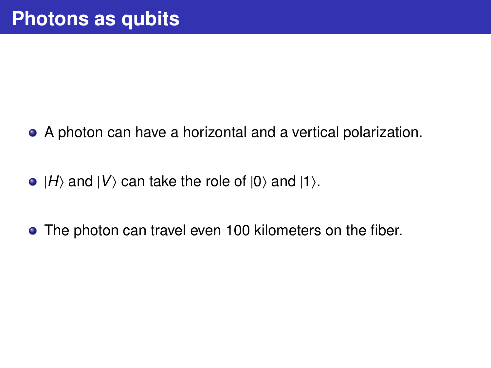- A photon can have a horizontal and a vertical polarization.
- $\bullet$   $|H\rangle$  and  $|V\rangle$  can take the role of  $|0\rangle$  and  $|1\rangle$ .
- The photon can travel even 100 kilometers on the fiber.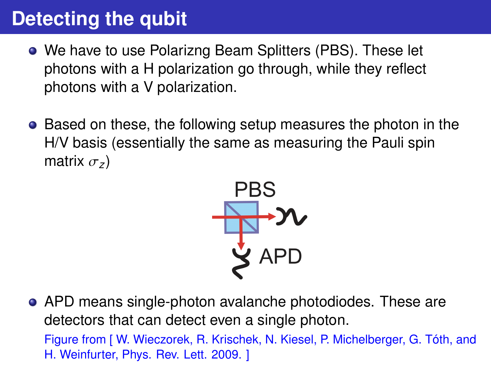# **Detecting the qubit**

- We have to use Polarizng Beam Splitters (PBS). These let photons with a H polarization go through, while they reflect photons with a V polarization.
- **•** Based on these, the following setup measures the photon in the H/V basis (essentially the same as measuring the Pauli spin matrix <sup>σ</sup>*<sup>z</sup>* )



APD means single-photon avalanche photodiodes. These are detectors that can detect even a single photon. Figure from [ W. Wieczorek, R. Krischek, N. Kiesel, P. Michelberger, G. Tóth, and H. Weinfurter, Phys. Rev. Lett. 2009. ]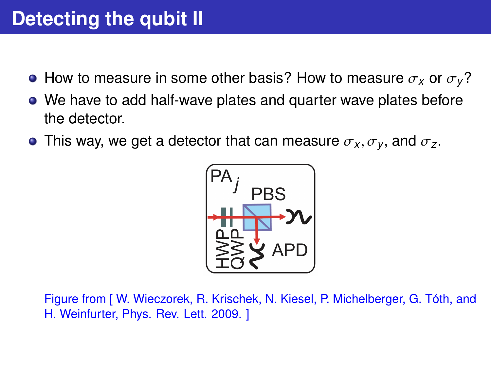- **•** How to measure in some other basis? How to measure  $\sigma_x$  or  $\sigma_y$ ?
- We have to add half-wave plates and quarter wave plates before the detector.
- **•** This way, we get a detector that can measure  $\sigma_X, \sigma_Y$ , and  $\sigma_Z$ .



Figure from [ W. Wieczorek, R. Krischek, N. Kiesel, P. Michelberger, G. Tóth, and H. Weinfurter, Phys. Rev. Lett. 2009. ]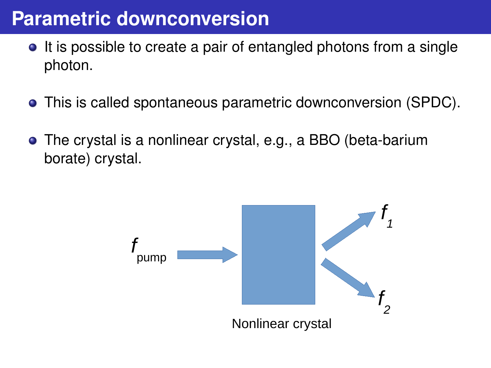## **Parametric downconversion**

- It is possible to create a pair of entangled photons from a single photon.
- This is called spontaneous parametric downconversion (SPDC).
- The crystal is a nonlinear crystal, e.g., a BBO (beta-barium borate) crystal.

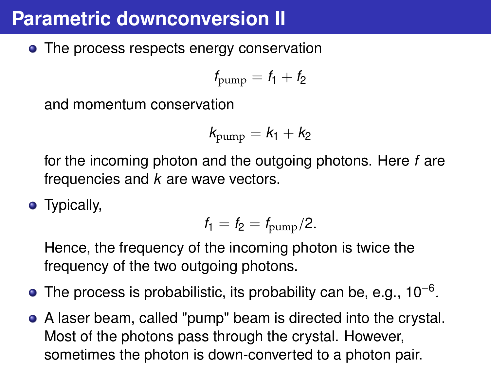## **Parametric downconversion II**

• The process respects energy conservation

$$
f_{\text{pump}} = f_1 + f_2
$$

and momentum conservation

$$
k_{\text{pump}} = k_1 + k_2
$$

for the incoming photon and the outgoing photons. Here *f* are frequencies and *k* are wave vectors.

• Typically,

$$
f_1 = f_2 = f_{\text{pump}}/2.
$$

Hence, the frequency of the incoming photon is twice the frequency of the two outgoing photons.

- The process is probabilistic, its probability can be, e.g., 10<sup>-6</sup>
- A laser beam, called "pump" beam is directed into the crystal. Most of the photons pass through the crystal. However, sometimes the photon is down-converted to a photon pair.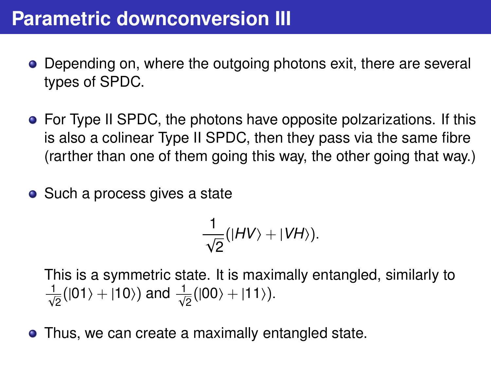## **Parametric downconversion III**

- Depending on, where the outgoing photons exit, there are several types of SPDC.
- For Type II SPDC, the photons have opposite polzarizations. If this is also a colinear Type II SPDC, then they pass via the same fibre (rarther than one of them going this way, the other going that way.)
- Such a process gives a state

$$
\frac{1}{\sqrt{2}}(|HV\rangle+|VH\rangle).
$$

This is a symmetric state. It is maximally entangled, similarly to  $\frac{1}{\sqrt{2}}(|01\rangle+|10\rangle)$  and  $\frac{1}{\sqrt{2}}(|00\rangle+|11\rangle)$ .

• Thus, we can create a maximally entangled state.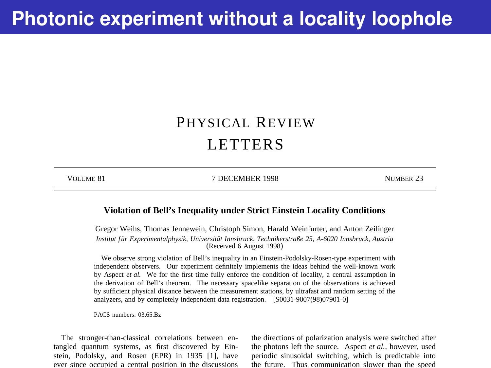## **Photonic experiment without a locality loophole**

### PHYSICAL REVIEW LETTERS

VOLUME 81 7 DECEMBER 1998 NUMBER 23

#### **Violation of Bell's Inequality under Strict Einstein Locality Conditions**

Gregor Weihs, Thomas Jennewein, Christoph Simon, Harald Weinfurter, and Anton Zeilinger *Institut f ür Experimentalphysik, Universität Innsbruck, Technikerstraße 25, A-6020 Innsbruck, Austria* (Received 6 August 1998)

We observe strong violation of Bell's inequality in an Einstein-Podolsky-Rosen-type experiment with independent observers. Our experiment definitely implements the ideas behind the well-known work by Aspect *et al.* We for the first time fully enforce the condition of locality, a central assumption in the derivation of Bell's theorem. The necessary spacelike separation of the observations is achieved by sufficient physical distance between the measurement stations, by ultrafast and random setting of the analyzers, and by completely independent data registration. [S0031-9007(98)07901-0]

PACS numbers: 03.65.Bz

The stronger-than-classical correlations between entangled quantum systems, as first discovered by Einstein, Podolsky, and Rosen (EPR) in 1935 [1], have ever since occupied a central position in the discussions the directions of polarization analysis were switched after the photons left the source. Aspect *et al.,* however, used periodic sinusoidal switching, which is predictable into the future. Thus communication slower than the speed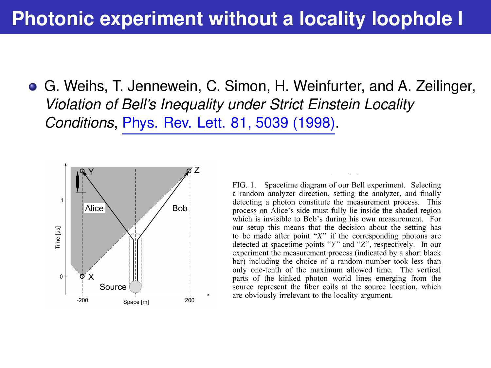## **Photonic experiment without a locality loophole I**

G. Weihs, T. Jennewein, C. Simon, H. Weinfurter, and A. Zeilinger, *Violation of Bell's Inequality under Strict Einstein Locality Conditions*, [Phys. Rev. Lett. 81, 5039 \(1998\).](https://link.aps.org/doi/10.1103/PhysRevLett.81.5039)



FIG. 1. Spacetime diagram of our Bell experiment. Selecting a random analyzer direction, setting the analyzer, and finally detecting a photon constitute the measurement process. This process on Alice's side must fully lie inside the shaded region which is invisible to Bob's during his own measurement. For our setup this means that the decision about the setting has to be made after point " $X$ " if the corresponding photons are detected at spacetime points "Y" and "Z", respectively. In our experiment the measurement process (indicated by a short black bar) including the choice of a random number took less than only one-tenth of the maximum allowed time. The vertical parts of the kinked photon world lines emerging from the source represent the fiber coils at the source location, which are obviously irrelevant to the locality argument.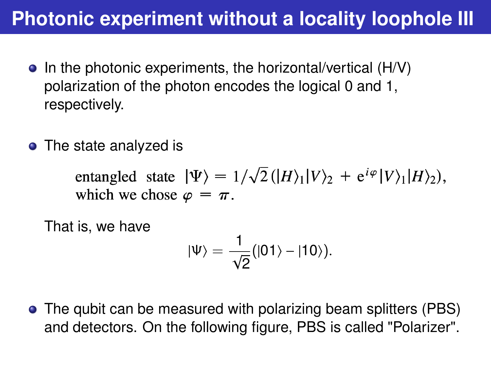## **Photonic experiment without a locality loophole III**

- $\bullet$  In the photonic experiments, the horizontal/vertical (H/V) polarization of the photon encodes the logical 0 and 1, respectively.
- The state analyzed is

entangled state  $|\Psi\rangle = 1/\sqrt{2} (|H\rangle_1 |V\rangle_2 + e^{i\varphi} |V\rangle_1 |H\rangle_2),$ which we chose  $\varphi = \pi$ .

That is, we have

$$
|\Psi\rangle=\frac{1}{\sqrt{2}}(|01\rangle-|10\rangle).
$$

The qubit can be measured with polarizing beam splitters (PBS) and detectors. On the following figure, PBS is called "Polarizer".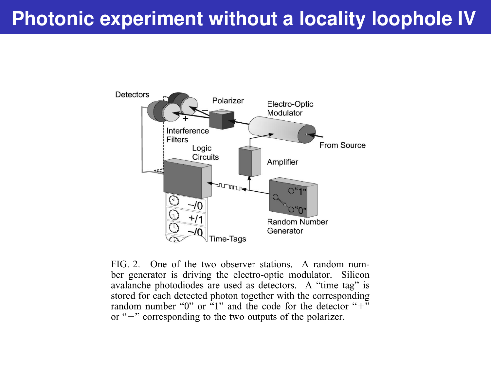# **Photonic experiment without a locality loophole IV**



FIG 2. One of the two observer stations. A random number generator is driving the electro-optic modulator. Silicon avalanche photodiodes are used as detectors. A "time tag" is stored for each detected photon together with the corresponding random number "0" or  $\cdot$ 1" and the code for the detector "+" or " $-$ " corresponding to the two outputs of the polarizer.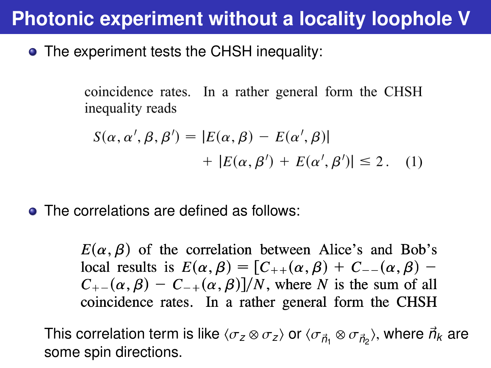## **Photonic experiment without a locality loophole V**

• The experiment tests the CHSH inequality:

coincidence rates. In a rather general form the CHSH inequality reads

$$
S(\alpha, \alpha', \beta, \beta') = |E(\alpha, \beta) - E(\alpha', \beta)|
$$
  
+ |E(\alpha, \beta') + E(\alpha', \beta')| \le 2. (1)

• The correlations are defined as follows:

 $E(\alpha, \beta)$  of the correlation between Alice's and Bob's local results is  $E(\alpha, \beta) = [C_{++}(\alpha, \beta) + C_{--}(\alpha, \beta) C_{+-}(\alpha, \beta) - C_{-+}(\alpha, \beta)/N$ , where N is the sum of all coincidence rates. In a rather general form the CHSH

This correlation term is like  $\langle \sigma_{\rm z} \otimes \sigma_{\rm z} \rangle$  or  $\langle \sigma_{\vec{n}_1} \otimes \sigma_{\vec{n}_2} \rangle$ , where  $\vec{n}_k$  are<br>some spin directions some spin directions.